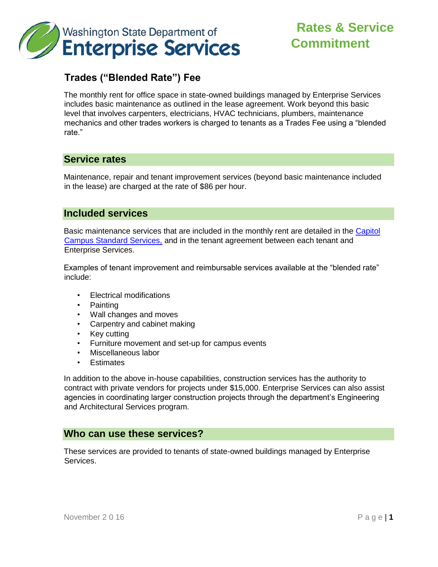

# **Rates & Service Commitment**

## **Trades ("Blended Rate") Fee**

The monthly rent for office space in state-owned buildings managed by Enterprise Services includes basic maintenance as outlined in the lease agreement. Work beyond this basic level that involves carpenters, electricians, HVAC technicians, plumbers, maintenance mechanics and other trades workers is charged to tenants as a Trades Fee using a "blended rate."

### **Service rates**

Maintenance, repair and tenant improvement services (beyond basic maintenance included in the lease) are charged at the rate of \$86 per hour.

#### **Included services**

Basic maintenance services that are included in the monthly rent are detailed in the [Capitol](http://www.des.wa.gov/SiteCollectionDocuments/Facilities/CapitolCampusStandardServices.pdf) [Campus Standard Services,](http://www.des.wa.gov/SiteCollectionDocuments/Facilities/CapitolCampusStandardServices.pdf) and in the tenant agreement between each tenant and Enterprise Services.

Examples of tenant improvement and reimbursable services available at the "blended rate" include:

- Electrical modifications
- Painting
- Wall changes and moves
- Carpentry and cabinet making
- Key cutting
- Furniture movement and set-up for campus events
- Miscellaneous labor
- **Estimates**

In addition to the above in-house capabilities, construction services has the authority to contract with private vendors for projects under \$15,000. Enterprise Services can also assist agencies in coordinating larger construction projects through the department's Engineering and Architectural Services program.

#### **Who can use these services?**

These services are provided to tenants of state-owned buildings managed by Enterprise Services.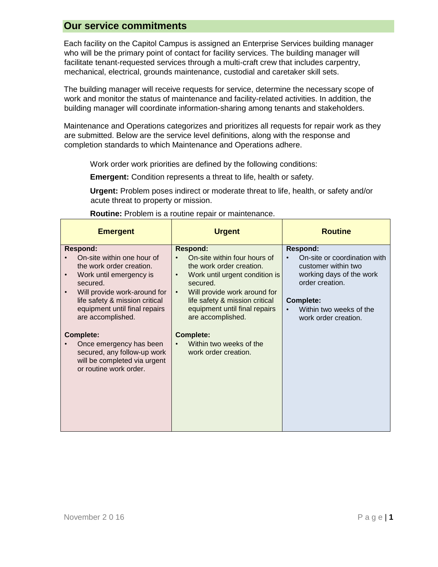#### **Our service commitments**

Each facility on the Capitol Campus is assigned an Enterprise Services building manager who will be the primary point of contact for facility services. The building manager will facilitate tenant-requested services through a multi-craft crew that includes carpentry, mechanical, electrical, grounds maintenance, custodial and caretaker skill sets.

The building manager will receive requests for service, determine the necessary scope of work and monitor the status of maintenance and facility-related activities. In addition, the building manager will coordinate information-sharing among tenants and stakeholders.

Maintenance and Operations categorizes and prioritizes all requests for repair work as they are submitted. Below are the service level definitions, along with the response and completion standards to which Maintenance and Operations adhere.

Work order work priorities are defined by the following conditions:

**Emergent:** Condition represents a threat to life, health or safety.

**Urgent:** Problem poses indirect or moderate threat to life, health, or safety and/or acute threat to property or mission.

| <b>Emergent</b>                                                                                                  | <b>Urgent</b>                                                               | <b>Routine</b>                                  |
|------------------------------------------------------------------------------------------------------------------|-----------------------------------------------------------------------------|-------------------------------------------------|
| <b>Respond:</b><br>On-site within one hour of                                                                    | <b>Respond:</b><br>On-site within four hours of                             | <b>Respond:</b><br>On-site or coordination with |
| the work order creation.                                                                                         | the work order creation.                                                    | customer within two                             |
| Work until emergency is<br>$\bullet$<br>secured.                                                                 | Work until urgent condition is<br>$\bullet$<br>secured.                     | working days of the work<br>order creation.     |
| Will provide work-around for<br>$\bullet$<br>life safety & mission critical                                      | Will provide work around for<br>$\bullet$<br>life safety & mission critical | <b>Complete:</b>                                |
| equipment until final repairs<br>are accomplished.                                                               | equipment until final repairs<br>are accomplished.                          | Within two weeks of the<br>work order creation. |
| <b>Complete:</b>                                                                                                 | <b>Complete:</b>                                                            |                                                 |
| Once emergency has been<br>secured, any follow-up work<br>will be completed via urgent<br>or routine work order. | Within two weeks of the<br>work order creation.                             |                                                 |

#### **Routine:** Problem is a routine repair or maintenance.